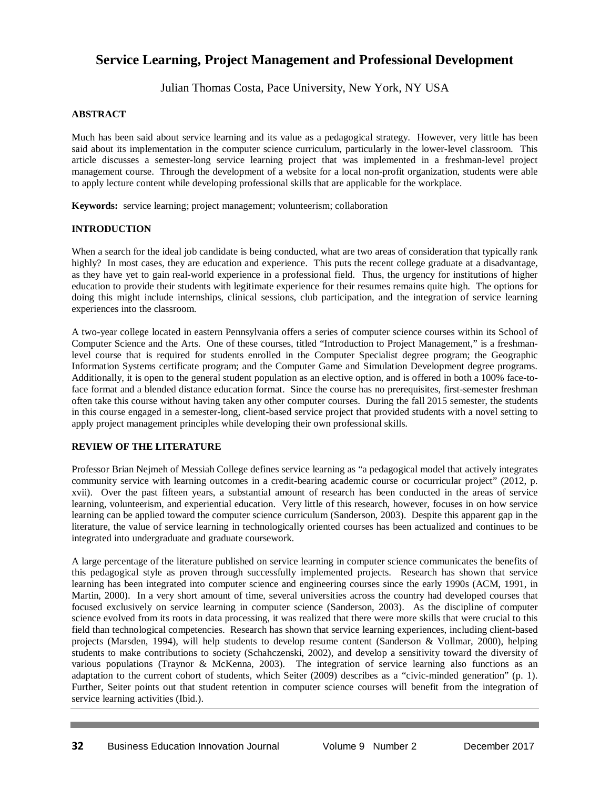## **Service Learning, Project Management and Professional Development**

Julian Thomas Costa, Pace University, New York, NY USA

## **ABSTRACT**

Much has been said about service learning and its value as a pedagogical strategy. However, very little has been said about its implementation in the computer science curriculum, particularly in the lower-level classroom. This article discusses a semester-long service learning project that was implemented in a freshman-level project management course. Through the development of a website for a local non-profit organization, students were able to apply lecture content while developing professional skills that are applicable for the workplace.

**Keywords:** service learning; project management; volunteerism; collaboration

## **INTRODUCTION**

When a search for the ideal job candidate is being conducted, what are two areas of consideration that typically rank highly? In most cases, they are education and experience. This puts the recent college graduate at a disadvantage, as they have yet to gain real-world experience in a professional field. Thus, the urgency for institutions of higher education to provide their students with legitimate experience for their resumes remains quite high. The options for doing this might include internships, clinical sessions, club participation, and the integration of service learning experiences into the classroom.

A two-year college located in eastern Pennsylvania offers a series of computer science courses within its School of Computer Science and the Arts. One of these courses, titled "Introduction to Project Management," is a freshmanlevel course that is required for students enrolled in the Computer Specialist degree program; the Geographic Information Systems certificate program; and the Computer Game and Simulation Development degree programs. Additionally, it is open to the general student population as an elective option, and is offered in both a 100% face-toface format and a blended distance education format. Since the course has no prerequisites, first-semester freshman often take this course without having taken any other computer courses. During the fall 2015 semester, the students in this course engaged in a semester-long, client-based service project that provided students with a novel setting to apply project management principles while developing their own professional skills.

#### **REVIEW OF THE LITERATURE**

Professor Brian Nejmeh of Messiah College defines service learning as "a pedagogical model that actively integrates community service with learning outcomes in a credit-bearing academic course or cocurricular project" (2012, p. xvii). Over the past fifteen years, a substantial amount of research has been conducted in the areas of service learning, volunteerism, and experiential education. Very little of this research, however, focuses in on how service learning can be applied toward the computer science curriculum (Sanderson, 2003). Despite this apparent gap in the literature, the value of service learning in technologically oriented courses has been actualized and continues to be integrated into undergraduate and graduate coursework.

A large percentage of the literature published on service learning in computer science communicates the benefits of this pedagogical style as proven through successfully implemented projects. Research has shown that service learning has been integrated into computer science and engineering courses since the early 1990s (ACM, 1991, in Martin, 2000). In a very short amount of time, several universities across the country had developed courses that focused exclusively on service learning in computer science (Sanderson, 2003). As the discipline of computer science evolved from its roots in data processing, it was realized that there were more skills that were crucial to this field than technological competencies. Research has shown that service learning experiences, including client-based projects (Marsden, 1994), will help students to develop resume content (Sanderson & Vollmar, 2000), helping students to make contributions to society (Schahczenski, 2002), and develop a sensitivity toward the diversity of various populations (Traynor & McKenna, 2003). The integration of service learning also functions as an adaptation to the current cohort of students, which Seiter (2009) describes as a "civic-minded generation" (p. 1). Further, Seiter points out that student retention in computer science courses will benefit from the integration of service learning activities (Ibid.).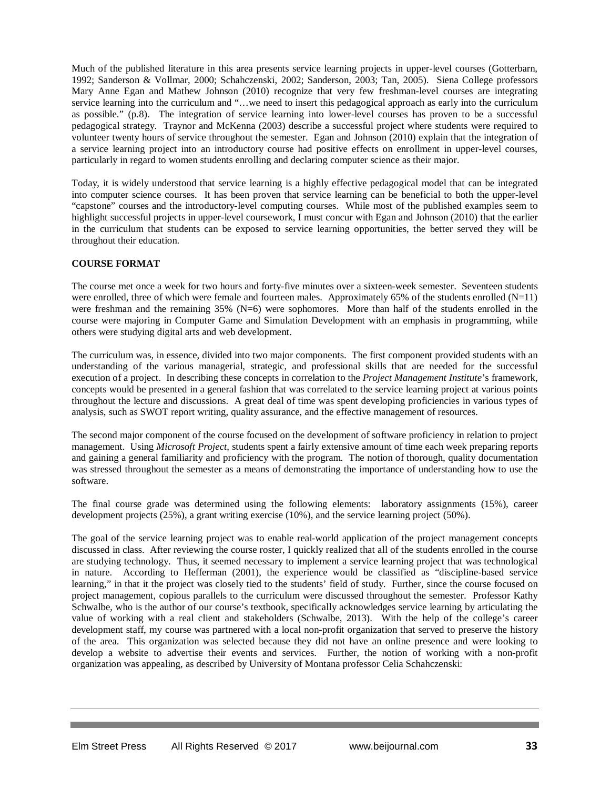Much of the published literature in this area presents service learning projects in upper-level courses (Gotterbarn, 1992; Sanderson & Vollmar, 2000; Schahczenski, 2002; Sanderson, 2003; Tan, 2005). Siena College professors Mary Anne Egan and Mathew Johnson (2010) recognize that very few freshman-level courses are integrating service learning into the curriculum and "…we need to insert this pedagogical approach as early into the curriculum as possible." (p.8). The integration of service learning into lower-level courses has proven to be a successful pedagogical strategy. Traynor and McKenna (2003) describe a successful project where students were required to volunteer twenty hours of service throughout the semester. Egan and Johnson (2010) explain that the integration of a service learning project into an introductory course had positive effects on enrollment in upper-level courses, particularly in regard to women students enrolling and declaring computer science as their major.

Today, it is widely understood that service learning is a highly effective pedagogical model that can be integrated into computer science courses. It has been proven that service learning can be beneficial to both the upper-level "capstone" courses and the introductory-level computing courses. While most of the published examples seem to highlight successful projects in upper-level coursework, I must concur with Egan and Johnson (2010) that the earlier in the curriculum that students can be exposed to service learning opportunities, the better served they will be throughout their education.

## **COURSE FORMAT**

The course met once a week for two hours and forty-five minutes over a sixteen-week semester. Seventeen students were enrolled, three of which were female and fourteen males. Approximately 65% of the students enrolled  $(N=11)$ were freshman and the remaining 35% (N=6) were sophomores. More than half of the students enrolled in the course were majoring in Computer Game and Simulation Development with an emphasis in programming, while others were studying digital arts and web development.

The curriculum was, in essence, divided into two major components. The first component provided students with an understanding of the various managerial, strategic, and professional skills that are needed for the successful execution of a project. In describing these concepts in correlation to the *Project Management Institute*'s framework, concepts would be presented in a general fashion that was correlated to the service learning project at various points throughout the lecture and discussions. A great deal of time was spent developing proficiencies in various types of analysis, such as SWOT report writing, quality assurance, and the effective management of resources.

The second major component of the course focused on the development of software proficiency in relation to project management. Using *Microsoft Project*, students spent a fairly extensive amount of time each week preparing reports and gaining a general familiarity and proficiency with the program. The notion of thorough, quality documentation was stressed throughout the semester as a means of demonstrating the importance of understanding how to use the software.

The final course grade was determined using the following elements: laboratory assignments (15%), career development projects (25%), a grant writing exercise (10%), and the service learning project (50%).

The goal of the service learning project was to enable real-world application of the project management concepts discussed in class. After reviewing the course roster, I quickly realized that all of the students enrolled in the course are studying technology. Thus, it seemed necessary to implement a service learning project that was technological in nature. According to Hefferman (2001), the experience would be classified as "discipline-based service learning," in that it the project was closely tied to the students' field of study. Further, since the course focused on project management, copious parallels to the curriculum were discussed throughout the semester. Professor Kathy Schwalbe, who is the author of our course's textbook, specifically acknowledges service learning by articulating the value of working with a real client and stakeholders (Schwalbe, 2013). With the help of the college's career development staff, my course was partnered with a local non-profit organization that served to preserve the history of the area. This organization was selected because they did not have an online presence and were looking to develop a website to advertise their events and services. Further, the notion of working with a non-profit organization was appealing, as described by University of Montana professor Celia Schahczenski: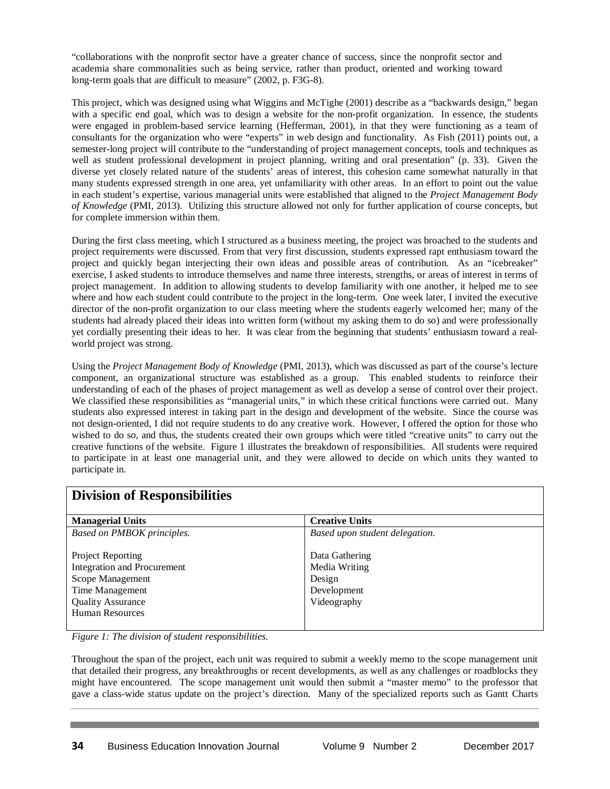"collaborations with the nonprofit sector have a greater chance of success, since the nonprofit sector and academia share commonalities such as being service, rather than product, oriented and working toward long-term goals that are difficult to measure" (2002, p. F3G-8).

This project, which was designed using what Wiggins and McTighe (2001) describe as a "backwards design," began with a specific end goal, which was to design a website for the non-profit organization. In essence, the students were engaged in problem-based service learning (Hefferman, 2001), in that they were functioning as a team of consultants for the organization who were "experts" in web design and functionality. As Fish (2011) points out, a semester-long project will contribute to the "understanding of project management concepts, tools and techniques as well as student professional development in project planning, writing and oral presentation" (p. 33). Given the diverse yet closely related nature of the students' areas of interest, this cohesion came somewhat naturally in that many students expressed strength in one area, yet unfamiliarity with other areas. In an effort to point out the value in each student's expertise, various managerial units were established that aligned to the *Project Management Body of Knowledge* (PMI, 2013). Utilizing this structure allowed not only for further application of course concepts, but for complete immersion within them.

During the first class meeting, which I structured as a business meeting, the project was broached to the students and project requirements were discussed. From that very first discussion, students expressed rapt enthusiasm toward the project and quickly began interjecting their own ideas and possible areas of contribution. As an "icebreaker" exercise, I asked students to introduce themselves and name three interests, strengths, or areas of interest in terms of project management. In addition to allowing students to develop familiarity with one another, it helped me to see where and how each student could contribute to the project in the long-term. One week later, I invited the executive director of the non-profit organization to our class meeting where the students eagerly welcomed her; many of the students had already placed their ideas into written form (without my asking them to do so) and were professionally yet cordially presenting their ideas to her. It was clear from the beginning that students' enthusiasm toward a realworld project was strong.

Using the *Project Management Body of Knowledge* (PMI, 2013), which was discussed as part of the course's lecture component, an organizational structure was established as a group. This enabled students to reinforce their understanding of each of the phases of project management as well as develop a sense of control over their project. We classified these responsibilities as "managerial units," in which these critical functions were carried out. Many students also expressed interest in taking part in the design and development of the website. Since the course was not design-oriented, I did not require students to do any creative work. However, I offered the option for those who wished to do so, and thus, the students created their own groups which were titled "creative units" to carry out the creative functions of the website. Figure 1 illustrates the breakdown of responsibilities. All students were required to participate in at least one managerial unit, and they were allowed to decide on which units they wanted to participate in.

| <b>Division of Responsibilities</b> |                                |
|-------------------------------------|--------------------------------|
| <b>Managerial Units</b>             | <b>Creative Units</b>          |
| Based on PMBOK principles.          | Based upon student delegation. |
|                                     |                                |
| Project Reporting                   | Data Gathering                 |
| <b>Integration and Procurement</b>  | Media Writing                  |
| Scope Management                    | Design                         |
| Time Management                     | Development                    |
| <b>Quality Assurance</b>            | Videography                    |
| <b>Human Resources</b>              |                                |
|                                     |                                |

# **Division of Responsibilities**

*Figure 1: The division of student responsibilities.*

Throughout the span of the project, each unit was required to submit a weekly memo to the scope management unit that detailed their progress, any breakthroughs or recent developments, as well as any challenges or roadblocks they might have encountered. The scope management unit would then submit a "master memo" to the professor that gave a class-wide status update on the project's direction. Many of the specialized reports such as Gantt Charts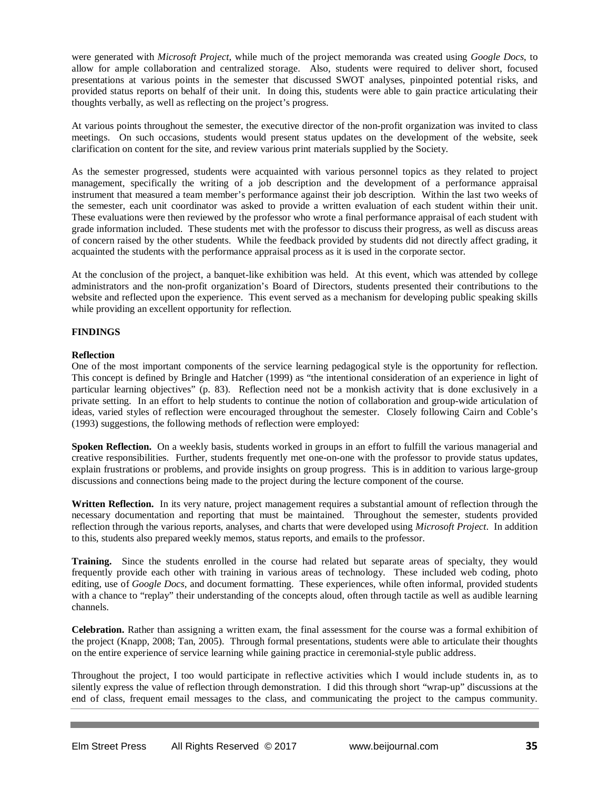were generated with *Microsoft Project*, while much of the project memoranda was created using *Google Docs*, to allow for ample collaboration and centralized storage. Also, students were required to deliver short, focused presentations at various points in the semester that discussed SWOT analyses, pinpointed potential risks, and provided status reports on behalf of their unit. In doing this, students were able to gain practice articulating their thoughts verbally, as well as reflecting on the project's progress.

At various points throughout the semester, the executive director of the non-profit organization was invited to class meetings. On such occasions, students would present status updates on the development of the website, seek clarification on content for the site, and review various print materials supplied by the Society.

As the semester progressed, students were acquainted with various personnel topics as they related to project management, specifically the writing of a job description and the development of a performance appraisal instrument that measured a team member's performance against their job description. Within the last two weeks of the semester, each unit coordinator was asked to provide a written evaluation of each student within their unit. These evaluations were then reviewed by the professor who wrote a final performance appraisal of each student with grade information included. These students met with the professor to discuss their progress, as well as discuss areas of concern raised by the other students. While the feedback provided by students did not directly affect grading, it acquainted the students with the performance appraisal process as it is used in the corporate sector.

At the conclusion of the project, a banquet-like exhibition was held. At this event, which was attended by college administrators and the non-profit organization's Board of Directors, students presented their contributions to the website and reflected upon the experience. This event served as a mechanism for developing public speaking skills while providing an excellent opportunity for reflection.

#### **FINDINGS**

#### **Reflection**

One of the most important components of the service learning pedagogical style is the opportunity for reflection. This concept is defined by Bringle and Hatcher (1999) as "the intentional consideration of an experience in light of particular learning objectives" (p. 83). Reflection need not be a monkish activity that is done exclusively in a private setting. In an effort to help students to continue the notion of collaboration and group-wide articulation of ideas, varied styles of reflection were encouraged throughout the semester. Closely following Cairn and Coble's (1993) suggestions, the following methods of reflection were employed:

**Spoken Reflection.** On a weekly basis, students worked in groups in an effort to fulfill the various managerial and creative responsibilities. Further, students frequently met one-on-one with the professor to provide status updates, explain frustrations or problems, and provide insights on group progress. This is in addition to various large-group discussions and connections being made to the project during the lecture component of the course.

**Written Reflection.** In its very nature, project management requires a substantial amount of reflection through the necessary documentation and reporting that must be maintained. Throughout the semester, students provided reflection through the various reports, analyses, and charts that were developed using *Microsoft Project*. In addition to this, students also prepared weekly memos, status reports, and emails to the professor.

**Training.** Since the students enrolled in the course had related but separate areas of specialty, they would frequently provide each other with training in various areas of technology. These included web coding, photo editing, use of *Google Docs*, and document formatting. These experiences, while often informal, provided students with a chance to "replay" their understanding of the concepts aloud, often through tactile as well as audible learning channels.

**Celebration.** Rather than assigning a written exam, the final assessment for the course was a formal exhibition of the project (Knapp, 2008; Tan, 2005). Through formal presentations, students were able to articulate their thoughts on the entire experience of service learning while gaining practice in ceremonial-style public address.

Throughout the project, I too would participate in reflective activities which I would include students in, as to silently express the value of reflection through demonstration. I did this through short "wrap-up" discussions at the end of class, frequent email messages to the class, and communicating the project to the campus community.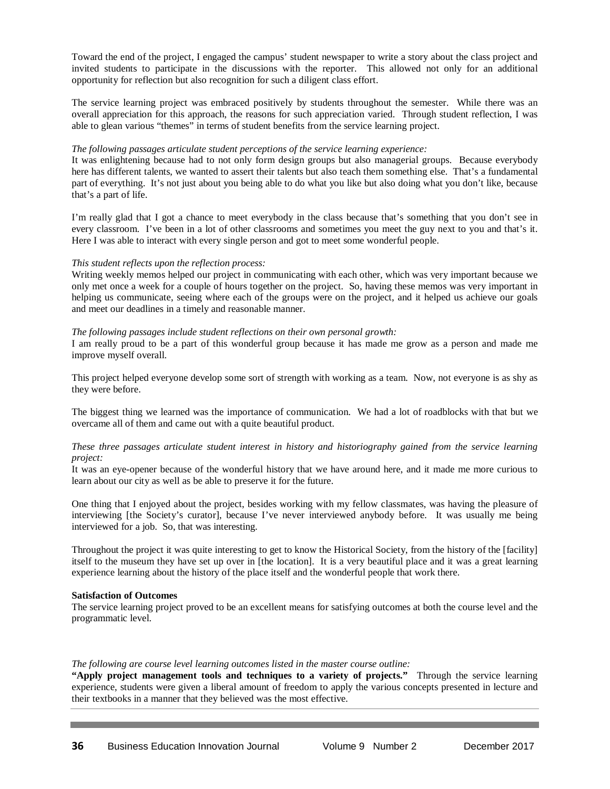Toward the end of the project, I engaged the campus' student newspaper to write a story about the class project and invited students to participate in the discussions with the reporter. This allowed not only for an additional opportunity for reflection but also recognition for such a diligent class effort.

The service learning project was embraced positively by students throughout the semester. While there was an overall appreciation for this approach, the reasons for such appreciation varied. Through student reflection, I was able to glean various "themes" in terms of student benefits from the service learning project.

#### *The following passages articulate student perceptions of the service learning experience:*

It was enlightening because had to not only form design groups but also managerial groups. Because everybody here has different talents, we wanted to assert their talents but also teach them something else. That's a fundamental part of everything. It's not just about you being able to do what you like but also doing what you don't like, because that's a part of life.

I'm really glad that I got a chance to meet everybody in the class because that's something that you don't see in every classroom. I've been in a lot of other classrooms and sometimes you meet the guy next to you and that's it. Here I was able to interact with every single person and got to meet some wonderful people.

## *This student reflects upon the reflection process:*

Writing weekly memos helped our project in communicating with each other, which was very important because we only met once a week for a couple of hours together on the project. So, having these memos was very important in helping us communicate, seeing where each of the groups were on the project, and it helped us achieve our goals and meet our deadlines in a timely and reasonable manner.

#### *The following passages include student reflections on their own personal growth:*

I am really proud to be a part of this wonderful group because it has made me grow as a person and made me improve myself overall.

This project helped everyone develop some sort of strength with working as a team. Now, not everyone is as shy as they were before.

The biggest thing we learned was the importance of communication. We had a lot of roadblocks with that but we overcame all of them and came out with a quite beautiful product.

#### *These three passages articulate student interest in history and historiography gained from the service learning project:*

It was an eye-opener because of the wonderful history that we have around here, and it made me more curious to learn about our city as well as be able to preserve it for the future.

One thing that I enjoyed about the project, besides working with my fellow classmates, was having the pleasure of interviewing [the Society's curator], because I've never interviewed anybody before. It was usually me being interviewed for a job. So, that was interesting.

Throughout the project it was quite interesting to get to know the Historical Society, from the history of the [facility] itself to the museum they have set up over in [the location]. It is a very beautiful place and it was a great learning experience learning about the history of the place itself and the wonderful people that work there.

#### **Satisfaction of Outcomes**

The service learning project proved to be an excellent means for satisfying outcomes at both the course level and the programmatic level.

#### *The following are course level learning outcomes listed in the master course outline:*

**"Apply project management tools and techniques to a variety of projects."** Through the service learning experience, students were given a liberal amount of freedom to apply the various concepts presented in lecture and their textbooks in a manner that they believed was the most effective.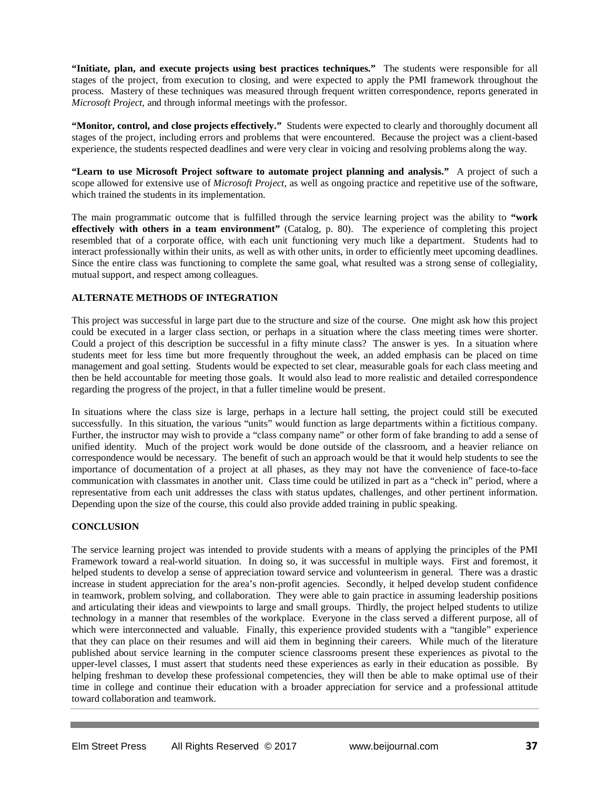**"Initiate, plan, and execute projects using best practices techniques."** The students were responsible for all stages of the project, from execution to closing, and were expected to apply the PMI framework throughout the process. Mastery of these techniques was measured through frequent written correspondence, reports generated in *Microsoft Project*, and through informal meetings with the professor.

**"Monitor, control, and close projects effectively."** Students were expected to clearly and thoroughly document all stages of the project, including errors and problems that were encountered. Because the project was a client-based experience, the students respected deadlines and were very clear in voicing and resolving problems along the way.

**"Learn to use Microsoft Project software to automate project planning and analysis."** A project of such a scope allowed for extensive use of *Microsoft Project*, as well as ongoing practice and repetitive use of the software, which trained the students in its implementation.

The main programmatic outcome that is fulfilled through the service learning project was the ability to **"work effectively with others in a team environment"** (Catalog, p. 80). The experience of completing this project resembled that of a corporate office, with each unit functioning very much like a department. Students had to interact professionally within their units, as well as with other units, in order to efficiently meet upcoming deadlines. Since the entire class was functioning to complete the same goal, what resulted was a strong sense of collegiality, mutual support, and respect among colleagues.

## **ALTERNATE METHODS OF INTEGRATION**

This project was successful in large part due to the structure and size of the course. One might ask how this project could be executed in a larger class section, or perhaps in a situation where the class meeting times were shorter. Could a project of this description be successful in a fifty minute class? The answer is yes. In a situation where students meet for less time but more frequently throughout the week, an added emphasis can be placed on time management and goal setting. Students would be expected to set clear, measurable goals for each class meeting and then be held accountable for meeting those goals. It would also lead to more realistic and detailed correspondence regarding the progress of the project, in that a fuller timeline would be present.

In situations where the class size is large, perhaps in a lecture hall setting, the project could still be executed successfully. In this situation, the various "units" would function as large departments within a fictitious company. Further, the instructor may wish to provide a "class company name" or other form of fake branding to add a sense of unified identity. Much of the project work would be done outside of the classroom, and a heavier reliance on correspondence would be necessary. The benefit of such an approach would be that it would help students to see the importance of documentation of a project at all phases, as they may not have the convenience of face-to-face communication with classmates in another unit. Class time could be utilized in part as a "check in" period, where a representative from each unit addresses the class with status updates, challenges, and other pertinent information. Depending upon the size of the course, this could also provide added training in public speaking.

#### **CONCLUSION**

The service learning project was intended to provide students with a means of applying the principles of the PMI Framework toward a real-world situation. In doing so, it was successful in multiple ways. First and foremost, it helped students to develop a sense of appreciation toward service and volunteerism in general. There was a drastic increase in student appreciation for the area's non-profit agencies. Secondly, it helped develop student confidence in teamwork, problem solving, and collaboration. They were able to gain practice in assuming leadership positions and articulating their ideas and viewpoints to large and small groups. Thirdly, the project helped students to utilize technology in a manner that resembles of the workplace. Everyone in the class served a different purpose, all of which were interconnected and valuable. Finally, this experience provided students with a "tangible" experience that they can place on their resumes and will aid them in beginning their careers. While much of the literature published about service learning in the computer science classrooms present these experiences as pivotal to the upper-level classes, I must assert that students need these experiences as early in their education as possible. By helping freshman to develop these professional competencies, they will then be able to make optimal use of their time in college and continue their education with a broader appreciation for service and a professional attitude toward collaboration and teamwork.